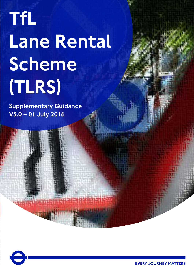# TfL Lane Rental Scheme (TLRS)

Supplementary Guidance V5.0 – 01 July 2016

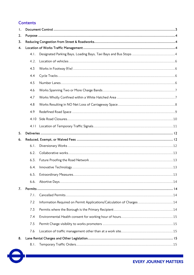# **Contents**

| $\mathsf{I}$ |      |                                                                       |
|--------------|------|-----------------------------------------------------------------------|
| 2.           |      |                                                                       |
| 3.           |      |                                                                       |
| 4.           |      |                                                                       |
|              | 4.1. |                                                                       |
|              | 4.2. |                                                                       |
|              | 4.3  |                                                                       |
|              | 4.4  |                                                                       |
|              | 4.5  |                                                                       |
|              | 4.6  |                                                                       |
|              | 4.7  |                                                                       |
|              | 4.8  |                                                                       |
|              | 4.9  |                                                                       |
|              | 4.10 |                                                                       |
|              | 4.11 |                                                                       |
| 5.           |      |                                                                       |
| 6.           |      |                                                                       |
|              | 6.1. |                                                                       |
|              | 6.2. |                                                                       |
|              | 6.3. |                                                                       |
|              | 6.4. |                                                                       |
|              |      |                                                                       |
|              | 6.6. |                                                                       |
| 7.           |      |                                                                       |
|              | 7.1. |                                                                       |
|              | 7.2  | Information Required on Permit Applications/Calculation of Charges 14 |
|              | 7.3  |                                                                       |
|              | 7.4  |                                                                       |
|              | 7.5  |                                                                       |
|              | 7.6  |                                                                       |
| 8.           |      |                                                                       |
|              | 8.1. |                                                                       |

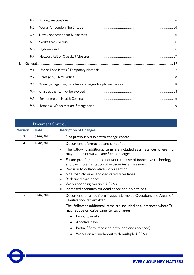|    | 8.2  |  |
|----|------|--|
|    | 8.3  |  |
|    | 8.4. |  |
|    | 8.5. |  |
|    | 8.6. |  |
|    | 8.7. |  |
| 9. |      |  |
|    |      |  |
|    | 9.2. |  |
|    | 9.3. |  |
|    | 9.4. |  |
|    | 9.5. |  |
|    | 9.6. |  |

<span id="page-2-0"></span>

|                | <b>Document Control</b> |                                                                                                                                                                                                                                                                                                                                                                                                                |
|----------------|-------------------------|----------------------------------------------------------------------------------------------------------------------------------------------------------------------------------------------------------------------------------------------------------------------------------------------------------------------------------------------------------------------------------------------------------------|
| <b>Version</b> | <b>Date</b>             | <b>Description of Changes</b>                                                                                                                                                                                                                                                                                                                                                                                  |
| 3              | 02/09/2014              | Not previously subject to change control                                                                                                                                                                                                                                                                                                                                                                       |
| $\overline{4}$ | 10/06/2015              | Document reformatted and simplified<br>The following additional items are included as a instances where TfL<br>$\overline{a}$<br>may reduce or waive Lane Rental charges:                                                                                                                                                                                                                                      |
|                |                         | Future proofing the road network, the use of innovative technology,<br>٠<br>and the implementation of extraordinary measures<br>Revision to collaborative works section<br>٠<br>Side road closures and dedicated filter lanes<br>$\bullet$<br>Redefined road space<br>$\bullet$<br>Works spanning multiple USRNs<br>Increased scenarios for dead space and no net loss<br>$\bullet$                            |
| 5              | 01/07/2016              | Document renamed from Frequently Asked Questions and Areas of<br>$\overline{\phantom{a}}$<br>Clarification (reformatted)<br>The following additional items are included as a instances where TfL<br>$\overline{a}$<br>may reduce or waive Lane Rental charges:<br>Enabling works<br>$\bullet$<br>Abortive days<br>Partial / Semi recessed bays (one end recessed)<br>Works on a roundabout with multiple USRNs |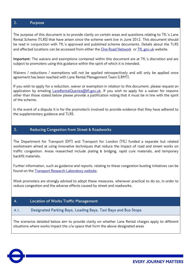## <span id="page-3-0"></span>**2. Purpose**

The purpose of this document is to provide clarity on certain areas and questions relating to TfL's Lane Rental Scheme (TLRS) that have arisen since the scheme went live in June 2012. This document should be read in conjunction with TfL's approved and published scheme documents. Details about the TLRS and affected locations can be accessed from either the [One Road Network](http://www.oneroadnetwork.org/library/street-works---tma/tfl-s-lane-rental-scheme) or [TfL.gov.uk](https://tfl.gov.uk/info-for/urban-planning-and-construction/lane-rental-scheme?cid=lanerental) website.

**Important:** The waivers and exemptions contained within this document are at TfL's discretion and are subject to promoters using this guidance within the spirit of which it is intended.

Waivers / reductions / exemptions will not be applied retrospectively and will only be applied once agreement has been reached with Lane Rental Management Team (LRMT).

If you wish to apply for a reduction, waiver or exemption in relation to this document, please request an application by emailing *LaneRentalQueries@tfl.gov.uk*. If you wish to apply for a waiver for reasons other than those stated below please provide a justification noting that it must be in line with the spirit of the scheme.

In the event of a dispute it is for the promoter/s involved to provide evidence that they have adhered to the supplementary guidance and TLRS.

### <span id="page-3-1"></span>**3. Reducing Congestion from Street & Roadworks**

The Department for Transport (DfT) and Transport for London (TfL) funded a separate but related workstream aimed at using innovative techniques that reduce the impact of road and street works on traffic congestion. Areas researched include plating & bridging, rapid cure materials, and temporary backfill materials.

Further information, such as guidance and reports, relating to these congestion busting initiatives can be found on the [Transport Research Laboratory website.](http://www.trl.co.uk/solutions/asset-management/asset-condition-monitoring/pavement-investigation/reducing-congestion-from-highway-works/)

Work promoters are strongly advised to adopt these measures, whenever practical to do so, in order to reduce congestion and the adverse effects caused by street and roadworks.

### <span id="page-3-2"></span>**4. Location of Works Traffic Management**

### <span id="page-3-3"></span>**4.1. Designated Parking Bays, Loading Bays, Taxi Bays and Bus Stops**

The scenarios detailed below aim to provide clarity on whether Lane Rental charges apply to different situations where works impact the c/w space that form the above designated areas

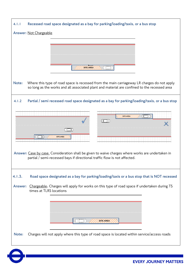| 4.1.1<br>Recessed road space designated as a bay for parking/loading/taxis, or a bus stop                                                                                                            |
|------------------------------------------------------------------------------------------------------------------------------------------------------------------------------------------------------|
| <b>Answer: Not Chargeable</b>                                                                                                                                                                        |
|                                                                                                                                                                                                      |
|                                                                                                                                                                                                      |
|                                                                                                                                                                                                      |
| sitê Area                                                                                                                                                                                            |
|                                                                                                                                                                                                      |
| Note:<br>Where this type of road space is recessed from the main carriageway LR charges do not apply<br>so long as the works and all associated plant and material are confined to the recessed area |
| 4.1.2<br>Partial / semi recessed road space designated as a bay for parking/loading/taxis, or a bus stop                                                                                             |
| TET<br><b>SITE AREA</b>                                                                                                                                                                              |
| lan                                                                                                                                                                                                  |
| חר                                                                                                                                                                                                   |
| يليطل<br><b>SITE AREA</b>                                                                                                                                                                            |
| Answer: Case by case. Consideration shall be given to waive charges where works are undertaken in<br>partial / semi-recessed bays if directional traffic flow is not affected.                       |
| 4.1.3.<br>Road space designated as a bay for parking/loading/taxis or a bus stop that is NOT recessed                                                                                                |
| Chargeable. Charges will apply for works on this type of road space if undertaken during TS<br><b>Answer:</b><br>times at TLRS locations                                                             |
|                                                                                                                                                                                                      |
|                                                                                                                                                                                                      |
|                                                                                                                                                                                                      |
| SITE AREA                                                                                                                                                                                            |
| Charges will not apply where this type of road space is located within service/access roads<br>Note:                                                                                                 |
|                                                                                                                                                                                                      |
|                                                                                                                                                                                                      |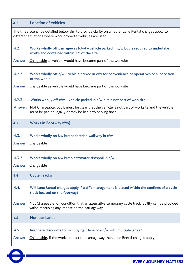<span id="page-5-1"></span><span id="page-5-0"></span>

| 4.2.                    | <b>Location of vehicles</b>                                                                                                                                     |
|-------------------------|-----------------------------------------------------------------------------------------------------------------------------------------------------------------|
|                         | The three scenarios detailed below aim to provide clarity on whether Lane Rental charges apply to<br>different situations where work promoter vehicles are used |
| 4.2.1                   | Works wholly off carriageway $(c/w)$ – vehicle parked in $c/w$ but is required to undertake<br>works and contained within TM of the site                        |
| <b>Answer:</b>          | Chargeable as vehicle would have become part of the worksite                                                                                                    |
| 4.2.2                   | Works wholly off $c/w$ – vehicle parked in $c/w$ for convenience of operatives or supervision<br>of the works                                                   |
| <b>Answer:</b>          | Chargeable as vehicle would have become part of the worksite                                                                                                    |
| 4.2.3                   | Works wholly off $c/w$ – vehicle parked in $c/w$ but is not part of worksite                                                                                    |
| Answer:                 | Not Chargeable, but it must be clear that the vehicle is not part of worksite and the vehicle<br>must be parked legally or may be liable to parking fines       |
| 4.3                     | Works in Footway (f/w)                                                                                                                                          |
| 4.3.1<br><b>Answer:</b> | Works wholly on f/w but pedestrian walkway in c/w<br>Chargeable                                                                                                 |
|                         |                                                                                                                                                                 |
| 4.3.2                   | Works wholly on f/w but plant/materials/spoil in c/w                                                                                                            |
|                         | Answer: Chargeable                                                                                                                                              |
| 4.4                     | <b>Cycle Tracks</b>                                                                                                                                             |
| 4.4.1                   | Will Lane Rental charges apply if traffic management is placed within the confines of a cycle<br>track located on the footway?                                  |
| Answer:                 | Not Chargeable, on condition that an alternative temporary cycle track facility can be provided<br>without causing any impact on the carriageway                |
| 4.5                     | <b>Number Lanes</b>                                                                                                                                             |
| 4.5.1<br><b>Answer:</b> | Are there discounts for occupying I lane of a c/w with multiple lanes?<br>Chargeable. If the works impact the carriageway then Lane Rental charges apply        |
|                         |                                                                                                                                                                 |

<span id="page-5-3"></span><span id="page-5-2"></span>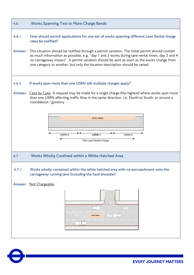<span id="page-6-0"></span>

<span id="page-6-1"></span>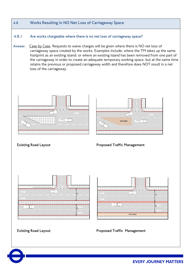<span id="page-7-0"></span>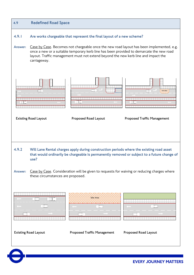<span id="page-8-0"></span>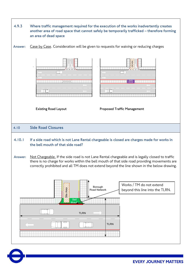<span id="page-9-0"></span>

| 4.9.3   | Where traffic management required for the execution of the works inadvertently creates<br>another area of road space that cannot safely be temporarily trafficked - therefore forming<br>an area of dead space                                                                                 |
|---------|------------------------------------------------------------------------------------------------------------------------------------------------------------------------------------------------------------------------------------------------------------------------------------------------|
| Answer: | Case by Case. Consideration will be given to requests for waiving or reducing charges                                                                                                                                                                                                          |
|         | TIFIE.                                                                                                                                                                                                                                                                                         |
|         | <b>Existing Road Layout</b><br><b>Proposed Traffic Management</b>                                                                                                                                                                                                                              |
| 4.10    | <b>Side Road Closures</b>                                                                                                                                                                                                                                                                      |
| 4.10.1  | If a side road which is not Lane Rental chargeable is closed are charges made for works in<br>the bell mouth of that side road?                                                                                                                                                                |
| Answer: | Not Chargeable. If the side road is not Lane Rental chargeable and is legally closed to traffic<br>there is no charge for works within the bell mouth of that side road providing movements are<br>correctly prohibited and all TM does not extend beyond the line shown in the below drawing. |
|         | Works / TM do not extend<br>Borough<br>Ste Area<br>beyond this line into the TLRN.<br>Road Network<br>Bell                                                                                                                                                                                     |
|         | <b>TLRN</b><br><b>TLRN</b>                                                                                                                                                                                                                                                                     |

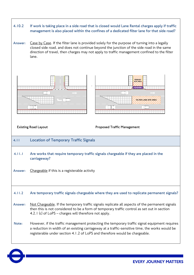

<span id="page-10-0"></span>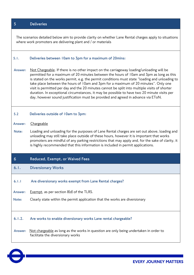<span id="page-11-0"></span>

| 5       | <b>Deliveries</b>                                                                                                                                                                                                                                                                                                                                                                                                                                                                                                                                                                                                                                                 |
|---------|-------------------------------------------------------------------------------------------------------------------------------------------------------------------------------------------------------------------------------------------------------------------------------------------------------------------------------------------------------------------------------------------------------------------------------------------------------------------------------------------------------------------------------------------------------------------------------------------------------------------------------------------------------------------|
|         | The scenarios detailed below aim to provide clarity on whether Lane Rental charges apply to situations<br>where work promoters are delivering plant and / or materials                                                                                                                                                                                                                                                                                                                                                                                                                                                                                            |
| 5.1.    | Deliveries between 10am to 3pm for a maximum of 20mins:                                                                                                                                                                                                                                                                                                                                                                                                                                                                                                                                                                                                           |
| Answer: | Not Chargeable. If there is no other impact on the carriageway loading/unloading will be<br>permitted for a maximum of 20 minutes between the hours of 10am and 3pm as long as this<br>is stated on the works permit, e.g. the permit conditions must state "loading and unloading to<br>take place between the hours of 10am and 3pm for a maximum of 20 minutes". Only one<br>visit is permitted per day and the 20 minutes cannot be split into multiple visits of shorter<br>duration. In exceptional circumstances, it may be possible to have two 20 minute visits per<br>day, however sound justification must be provided and agreed in advance via EToN. |
| 5.2     | Deliveries outside of 10am to 3pm:                                                                                                                                                                                                                                                                                                                                                                                                                                                                                                                                                                                                                                |
| Answer: | Chargeable                                                                                                                                                                                                                                                                                                                                                                                                                                                                                                                                                                                                                                                        |
| Note:   | Loading and unloading for the purposes of Lane Rental charges are set out above, loading and<br>unloading may still take place outside of these hours, however it is important that works<br>promoters are mindful of any parking restrictions that may apply and, for the sake of clarity, it<br>is highly recommended that this information is included in permit applications.                                                                                                                                                                                                                                                                                 |
| 6       | Reduced, Exempt, or Waived Fees                                                                                                                                                                                                                                                                                                                                                                                                                                                                                                                                                                                                                                   |
| 6.1.    | <b>Diversionary Works</b>                                                                                                                                                                                                                                                                                                                                                                                                                                                                                                                                                                                                                                         |
| 6.1.1   | Are diversionary works exempt from Lane Rental charges?                                                                                                                                                                                                                                                                                                                                                                                                                                                                                                                                                                                                           |
| Answer: | Exempt, as per section 8(d) of the TLRS.                                                                                                                                                                                                                                                                                                                                                                                                                                                                                                                                                                                                                          |
| Note:   | Clearly state within the permit application that the works are diversionary                                                                                                                                                                                                                                                                                                                                                                                                                                                                                                                                                                                       |
| 6.1.2.  | Are works to enable diversionary works Lane rental chargeable?                                                                                                                                                                                                                                                                                                                                                                                                                                                                                                                                                                                                    |
| Answer: | Not chargeable as long as the works in question are only being undertaken in order to<br>facilitate the diversionary works                                                                                                                                                                                                                                                                                                                                                                                                                                                                                                                                        |

<span id="page-11-2"></span><span id="page-11-1"></span>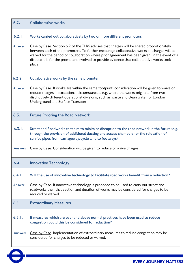<span id="page-12-3"></span><span id="page-12-2"></span><span id="page-12-1"></span><span id="page-12-0"></span>

| 6.2.    | <b>Collaborative works</b>                                                                                                                                                                                                                                                                                                                                                                         |
|---------|----------------------------------------------------------------------------------------------------------------------------------------------------------------------------------------------------------------------------------------------------------------------------------------------------------------------------------------------------------------------------------------------------|
| 6.2.1.  | Works carried out collaboratively by two or more different promoters                                                                                                                                                                                                                                                                                                                               |
| Answer: | Case by Case. Section 6.2 of the TLRS advises that charges will be shared proportionately<br>between each of the promoters. To further encourage collaborative works all charges will be<br>waived for the period of collaboration where prior agreement has been given. In the event of a<br>dispute it is for the promoters involved to provide evidence that collaborative works took<br>place. |
| 6.2.2.  | Collaborative works by the same promoter                                                                                                                                                                                                                                                                                                                                                           |
| Answer: | Case by Case. If works are within the same footprint, consideration will be given to waive or<br>reduce charges in exceptional circumstances, e.g. where the works originate from two<br>distinctively different operational divisions, such as waste and clean water; or London<br>Underground and Surface Transport                                                                              |
| 6.3.    | <b>Future Proofing the Road Network</b>                                                                                                                                                                                                                                                                                                                                                            |
| 6.3.1.  | Street and Roadworks that aim to minimise disruption to the road network in the future (e.g.<br>through the provision of additional ducting and access chambers; or the relocation of<br>service pipes from carriageway/cycle lane to footways)                                                                                                                                                    |
| Answer: | Case by Case. Consideration will be given to reduce or waive charges.                                                                                                                                                                                                                                                                                                                              |
| 6.4.    | <b>Innovative Technology</b>                                                                                                                                                                                                                                                                                                                                                                       |
| 6.4.1   | Will the use of innovative technology to facilitate road works benefit from a reduction?                                                                                                                                                                                                                                                                                                           |
| Answer: | Case by Case. If innovative technology is proposed to be used to carry out street and<br>roadworks then that section and duration of works may be considered for charges to be<br>reduced or waived.                                                                                                                                                                                               |
| 6.5.    | <b>Extraordinary Measures</b>                                                                                                                                                                                                                                                                                                                                                                      |
| 6.5.1.  | If measures which are over and above normal practices have been used to reduce<br>congestion could this be considered for reduction?                                                                                                                                                                                                                                                               |
|         |                                                                                                                                                                                                                                                                                                                                                                                                    |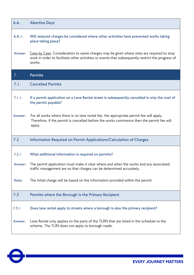<span id="page-13-2"></span><span id="page-13-1"></span><span id="page-13-0"></span>

| 6.6.    | <b>Abortive Days</b>                                                                                                                                                                                      |
|---------|-----------------------------------------------------------------------------------------------------------------------------------------------------------------------------------------------------------|
| 6.6.1.  | Will reduced charges be considered where other activities have prevented works taking<br>place taking place?                                                                                              |
| Answer: | Case by Case. Consideration to waive charges may be given where sites are required to stop<br>work in order to facilitate other activities or events that subsequently restrict the progress of<br>works. |
| 7.      | <b>Permits</b>                                                                                                                                                                                            |
| 7.1.    | <b>Cancelled Permits</b>                                                                                                                                                                                  |
| 7.1.1.  | If a permit application on a Lane Rental street is subsequently cancelled is only the cost of<br>the permit payable?                                                                                      |
| Answer: | For all works where there is no lane rental fee, the appropriate permit fee will apply.<br>Therefore, if the permit is cancelled before the works commence then the permit fee will<br>apply.             |
| 7.2     | Information Required on Permit Applications/Calculation of Charges                                                                                                                                        |
| 7.2.1   | What additional information is required on permits?                                                                                                                                                       |
| Answer: | The permit application must make it clear where and when the works and any associated<br>traffic management are so that charges can be determined accurately.                                             |
| Note:   | The initial charge will be based on the information provided within the permit.                                                                                                                           |
| 7.3     | Permits where the Borough is the Primary Recipient                                                                                                                                                        |
| 7.3.1   | Does lane rental apply to streets where a borough is also the primary recipient?                                                                                                                          |
| Answer: | Lane Rental only applies to the parts of the TLRN that are listed in the schedule to the<br>scheme. The TLRS does not apply to borough roads.                                                             |

<span id="page-13-4"></span><span id="page-13-3"></span>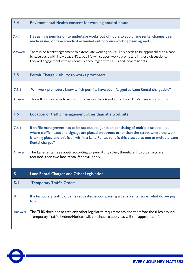<span id="page-14-2"></span><span id="page-14-1"></span><span id="page-14-0"></span>

| 7.4              | Environmental Health consent for working hour of hours                                                                                                                                                                                                                                                                  |
|------------------|-------------------------------------------------------------------------------------------------------------------------------------------------------------------------------------------------------------------------------------------------------------------------------------------------------------------------|
| 7.4.1            | Has gaining permission to undertake works out of hours to avoid lane rental charges been<br>made easier, or have standard extended out of hours working been agreed?                                                                                                                                                    |
| Answer:          | There is no blanket agreement to extend late working hours. This needs to be approached on a case<br>by case basis with individual EHOs, but TfL will support works promoters in these discussions.<br>Forward engagement with residents is encouraged with EHOs and local residents.                                   |
| 7.5              | Permit Charge visibility to works promoters                                                                                                                                                                                                                                                                             |
| 7.5.1<br>Answer: | Will work promoters know which permits have been flagged as Lane Rental chargeable?<br>This will not be visible to works promoters as there is not currently an EToN transaction for this.                                                                                                                              |
| 7.6              | Location of traffic management other than at a work site                                                                                                                                                                                                                                                                |
| 7.6.1            | If traffic management has to be set out at a junction consisting of multiple streets, i.e.<br>where traffic heads and signage are placed on streets other than the street where the work<br>is taking place and this is all within a Lane Rental zone is this classed as one or multiple Lane<br><b>Rental charges?</b> |
| Answer:          | The Lane rental fees apply according to permitting rules, therefore if two permits are<br>required, then two lane rental fees will apply.                                                                                                                                                                               |
| 8                | Lane Rental Charges and Other Legislation                                                                                                                                                                                                                                                                               |
| 8.1.             | <b>Temporary Traffic Orders</b>                                                                                                                                                                                                                                                                                         |
| 8.1.1            | If a temporary traffic order is requested encompassing a Lane Rental zone, what do we pay<br>for?                                                                                                                                                                                                                       |
| Answer:          | The TLRS does not negate any other legislative requirements and therefore the rules around.<br>Temporary Traffic Orders/Notices will continue to apply, as will the appropriate fee.                                                                                                                                    |

<span id="page-14-4"></span><span id="page-14-3"></span> $\boldsymbol{\Theta}$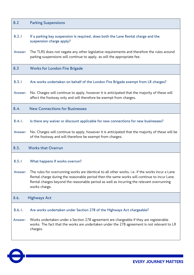<span id="page-15-2"></span><span id="page-15-1"></span><span id="page-15-0"></span>

| 8.2     | <b>Parking Suspensions</b>                                                                                                                                                                                                                                                                                   |
|---------|--------------------------------------------------------------------------------------------------------------------------------------------------------------------------------------------------------------------------------------------------------------------------------------------------------------|
| 8.2.1   | If a parking bay suspension is required, does both the Lane Rental charge and the<br>suspension charge apply?                                                                                                                                                                                                |
| Answer: | The TLRS does not negate any other legislative requirements and therefore the rules around<br>parking suspensions will continue to apply, as will the appropriate fee.                                                                                                                                       |
| 8.3     | <b>Works for London Fire Brigade</b>                                                                                                                                                                                                                                                                         |
| 8.3.1   | Are works undertaken on behalf of the London Fire Brigade exempt from LR charges?                                                                                                                                                                                                                            |
| Answer: | No. Charges will continue to apply, however it is anticipated that the majority of these will<br>affect the footway only and will therefore be exempt from charges.                                                                                                                                          |
| 8.4.    | <b>New Connections for Businesses</b>                                                                                                                                                                                                                                                                        |
| 8.4.1.  | Is there any waiver or discount applicable for new connections for new businesses?                                                                                                                                                                                                                           |
| Answer: | No. Charges will continue to apply, however it is anticipated that the majority of these will be<br>of the footway and will therefore be exempt from charges.                                                                                                                                                |
| 8.5.    | <b>Works that Overrun</b>                                                                                                                                                                                                                                                                                    |
| 8.5.1   | What happens if works overrun?                                                                                                                                                                                                                                                                               |
| Answer: | The rules for overrunning works are identical to all other works, i.e. if the works incur a Lane<br>Rental charge during the reasonable period then the same works will continue to incur Lane<br>Rental charges beyond the reasonable period as well as incurring the relevant overrunning<br>works charge. |
| 8.6.    | <b>Highways Act</b>                                                                                                                                                                                                                                                                                          |
| 8.6.1.  | Are works undertaken under Section 278 of the Highways Act chargeable?                                                                                                                                                                                                                                       |
| Answer: | Works undertaken under a Section 278 agreement are chargeable if they are registerable<br>works. The fact that the works are undertaken under the 278 agreement is not relevant to LR<br>charges.                                                                                                            |
|         |                                                                                                                                                                                                                                                                                                              |

<span id="page-15-4"></span><span id="page-15-3"></span>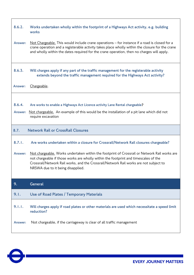<span id="page-16-0"></span>

| 8.6.2.  | Works undertaken wholly within the footprint of a Highways Act activity, e.g. building<br>works                                                                                                                                                                                                                   |
|---------|-------------------------------------------------------------------------------------------------------------------------------------------------------------------------------------------------------------------------------------------------------------------------------------------------------------------|
| Answer: | Not Chargeable. This would include crane operations – for instance if a road is closed for a<br>crane operation and a registerable activity takes place wholly within the closure for the crane<br>and wholly within the dates required for the crane operation, then no charges will apply.                      |
| 8.6.3.  | Will charges apply if any part of the traffic management for the registerable activity<br>extends beyond the traffic management required for the Highways Act activity?                                                                                                                                           |
| Answer: | Chargeable.                                                                                                                                                                                                                                                                                                       |
|         |                                                                                                                                                                                                                                                                                                                   |
| 8.6.4.  | Are works to enable a Highways Act Licence activity Lane Rental chargeable?                                                                                                                                                                                                                                       |
| Answer: | Not chargeable. An example of this would be the installation of a pit lane which did not<br>require excavation                                                                                                                                                                                                    |
|         |                                                                                                                                                                                                                                                                                                                   |
| 8.7.    | <b>Network Rail or CrossRail Closures</b>                                                                                                                                                                                                                                                                         |
| 8.7.1.  | Are works undertaken within a closure for Crossrail/Network Rail closures chargeable?                                                                                                                                                                                                                             |
| Answer: | Not chargeable. Works undertaken within the footprint of Crossrail or Network Rail works are<br>not chargeable if those works are wholly within the footprint and timescales of the<br>Crossrail/Network Rail works, and the Crossrail/Network Rail works are not subject to<br>NRSWA due to it being disapplied. |
| 9.      | General                                                                                                                                                                                                                                                                                                           |
| 9.1.    | Use of Road Plates / Temporary Materials                                                                                                                                                                                                                                                                          |
| 9.1.1.  | Will charges apply if road plates or other materials are used which necessitate a speed limit<br>reduction?                                                                                                                                                                                                       |

<span id="page-16-2"></span><span id="page-16-1"></span>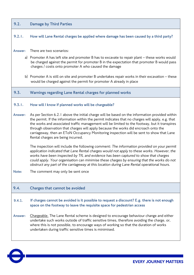<span id="page-17-1"></span><span id="page-17-0"></span>

| 9.2.    | <b>Damage by Third Parties</b>                                                                                                                                                                                                                                                                                                                                                                                                                                                                                               |
|---------|------------------------------------------------------------------------------------------------------------------------------------------------------------------------------------------------------------------------------------------------------------------------------------------------------------------------------------------------------------------------------------------------------------------------------------------------------------------------------------------------------------------------------|
| 9.2.1.  | How will Lane Rental charges be applied where damage has been caused by a third party?                                                                                                                                                                                                                                                                                                                                                                                                                                       |
| Answer: | There are two scenarios:<br>a) Promoter A has left site and promoter B has to excavate to repair plant - these works would<br>be charged against the permit for promoter B in the expectation that promoter B would pass<br>charges / costs onto promoter A who caused the damage                                                                                                                                                                                                                                            |
|         | b) Promoter A is still on site and promoter B undertakes repair works in their excavation – these<br>would be charged against the permit for promoter A already in place                                                                                                                                                                                                                                                                                                                                                     |
| 9.3.    | Warnings regarding Lane Rental charges for planned works                                                                                                                                                                                                                                                                                                                                                                                                                                                                     |
| 9.3.1.  | How will I know if planned works will be chargeable?                                                                                                                                                                                                                                                                                                                                                                                                                                                                         |
| Answer: | As per Section 6.2.1 above the initial charge will be based on the information provided within<br>the permit. If the information within the permit indicates that no charges will apply, e.g. that<br>the works and associated traffic management will be limited to the footway, but it transpires<br>through observation that charges will apply because the works did encroach onto the<br>carriageway, then an EToN Occupancy Monitoring inspection will be sent to show that Lane<br>Rental charges are being incurred. |
|         | The inspection will include the following comment: The information provided on your permit<br>application indicated that Lane Rental charges would not apply to these works. However, the<br>works have been inspected by TfL and evidence has been captured to show that charges<br>could apply. Your organisation can minimise these charges by ensuring that the works do not<br>obstruct any part of the carriageway at this location during Lane Rental operational hours.                                              |
| Note:   | The comment may only be sent once                                                                                                                                                                                                                                                                                                                                                                                                                                                                                            |
| 9.4.    | Charges that cannot be avoided                                                                                                                                                                                                                                                                                                                                                                                                                                                                                               |
| 9.4.1.  | If charges cannot be avoided is it possible to request a discount? E.g. there is not enough<br>space on the footway to leave the requisite space for pedestrian access                                                                                                                                                                                                                                                                                                                                                       |
| Answer: | Chargeable. The Lane Rental scheme is designed to encourage behaviour change and either<br>undertake such works outside of traffic sensitive times, therefore avoiding the charge, or,<br>where this is not possible, to encourage ways of working so that the duration of works<br>undertaken during traffic sensitive times is minimised.                                                                                                                                                                                  |

<span id="page-17-2"></span>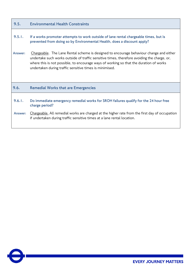<span id="page-18-1"></span><span id="page-18-0"></span>

| 9.5.    | <b>Environmental Health Constraints</b>                                                                                                                                                                                                                                                                                                     |
|---------|---------------------------------------------------------------------------------------------------------------------------------------------------------------------------------------------------------------------------------------------------------------------------------------------------------------------------------------------|
| 9.5.1.  | If a works promoter attempts to work outside of lane rental chargeable times, but is<br>prevented from doing so by Environmental Health, does a discount apply?                                                                                                                                                                             |
| Answer: | Chargeable. The Lane Rental scheme is designed to encourage behaviour change and either<br>undertake such works outside of traffic sensitive times, therefore avoiding the charge, or,<br>where this is not possible, to encourage ways of working so that the duration of works<br>undertaken during traffic sensitive times is minimised. |
| 9.6.    | <b>Remedial Works that are Emergencies</b>                                                                                                                                                                                                                                                                                                  |
| 9.6.1.  | Do immediate emergency remedial works for SROH failures qualify for the 24 hour free<br>charge period?                                                                                                                                                                                                                                      |
| Answer: | Chargeable. All remedial works are charged at the higher rate from the first day of occupation<br>if undertaken during traffic sensitive times at a lane rental location.                                                                                                                                                                   |

 $\boldsymbol{\Theta}$